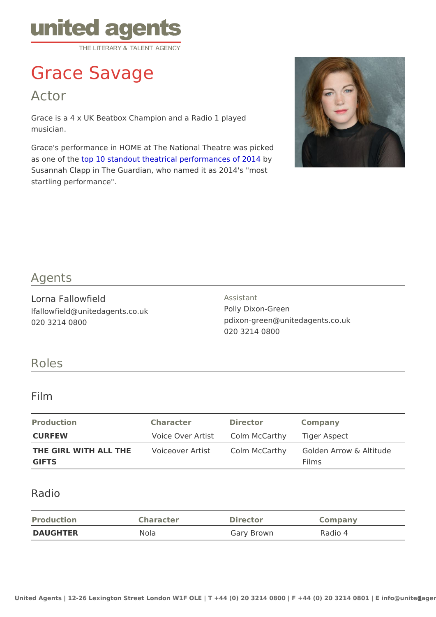# Grace Savage

Actor

Grace is a 4 x UK Beatbox Champion and a Radio 1 played musician.

Grace's performance in HOME at The National Theatre was picked as one of ttchpe 10 standout theatrical performatonces of 2014 Susannah Clapp in The Guardian, who named it as 2014's "most startling performance".

#### Agents

Lorna Fallowfield lfallowfield@unitedagents.co.uk 020 3214 0800

Assistant Polly Dixon-Green pdixon-green@unitedagents.co.uk 020 3214 0800

#### Roles

#### Film

| Production | Character                                 | Director | Company                                                                  |  |
|------------|-------------------------------------------|----------|--------------------------------------------------------------------------|--|
| CURFEW     | Voice Over Artictolm McCarthyliger Aspect |          |                                                                          |  |
|            |                                           |          | THE GIRL WITH ALL THMEoiceover ArtisColm McCarth Golden Arrow & Altitude |  |
| GIFTS      |                                           |          | Films                                                                    |  |

#### Radio

| Production      | Character | Director   | Company |
|-----------------|-----------|------------|---------|
| <b>DAUGHTER</b> | Nola      | Gary Brown | Radio 4 |